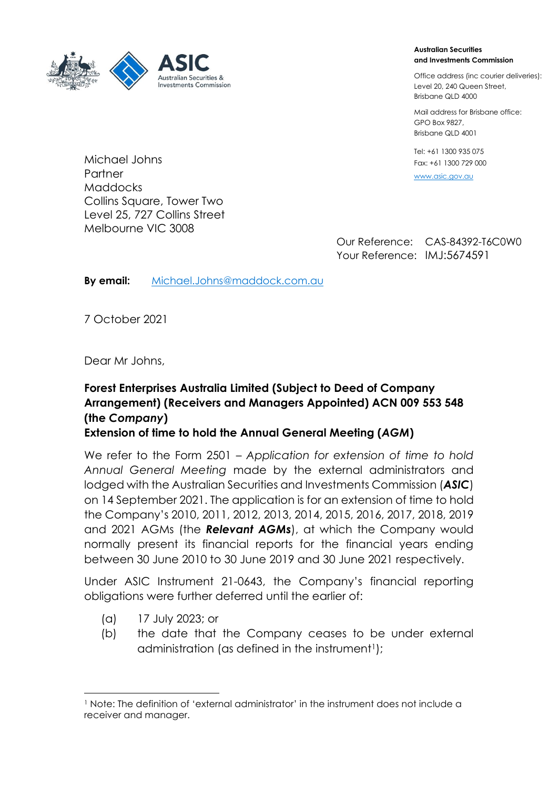

Michael Johns

#### **Australian Securities and Investments Commission**

Office address (inc courier deliveries): Level 20, 240 Queen Street, Brisbane QLD 4000

Mail address for Brisbane office: GPO Box 9827, Brisbane QLD 4001

Tel: +61 1300 935 075 Fax: +61 1300 729 000

<www.asic.gov.au>

**Partner Maddocks** Collins Square, Tower Two Level 25, 727 Collins Street Melbourne VIC 3008

Our Reference: CAS-84392-T6C0W0 Your Reference: IMJ:5674591

**By email:** [Michael.Johns@maddock.com.au](mailto:Michael.Johns@maddock.com.au)

7 October 2021

Dear Mr Johns,

# **Forest Enterprises Australia Limited (Subject to Deed of Company Arrangement) (Receivers and Managers Appointed) ACN 009 553 548 (the** *Company***)**

**Extension of time to hold the Annual General Meeting (***AGM***)**

We refer to the Form 2501 – *Application for extension of time to hold Annual General Meeting* made by the external administrators and lodged with the Australian Securities and Investments Commission (*ASIC*) on 14 September 2021. The application is for an extension of time to hold the Company's 2010, 2011, 2012, 2013, 2014, 2015, 2016, 2017, 2018, 2019 and 2021 AGMs (the *Relevant AGMs*), at which the Company would normally present its financial reports for the financial years ending between 30 June 2010 to 30 June 2019 and 30 June 2021 respectively.

Under ASIC Instrument 21-0643, the Company's financial reporting obligations were further deferred until the earlier of:

- (a) 17 July 2023; or
- (b) the date that the Company ceases to be under external administration (as defined in the instrument<sup>1</sup>);

<sup>1</sup> Note: The definition of 'external administrator' in the instrument does not include a receiver and manager.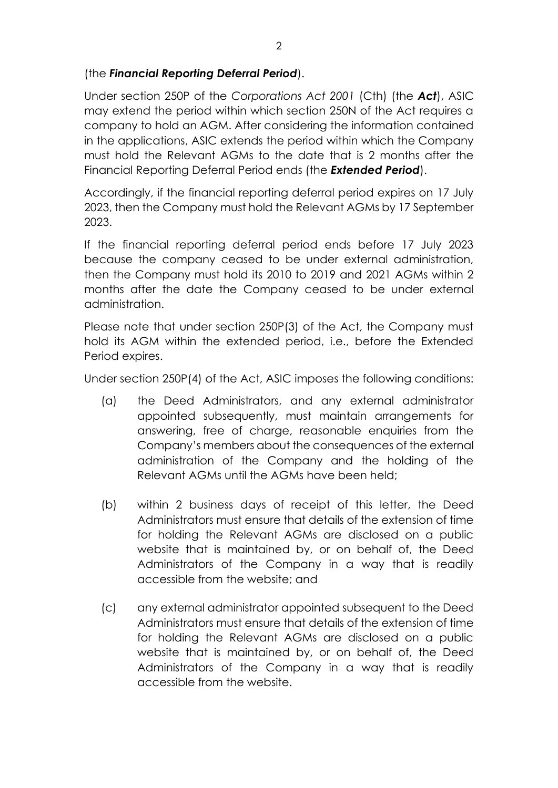## (the *Financial Reporting Deferral Period*).

Under section 250P of the *Corporations Act 2001* (Cth) (the *Act*), ASIC may extend the period within which section 250N of the Act requires a company to hold an AGM. After considering the information contained in the applications, ASIC extends the period within which the Company must hold the Relevant AGMs to the date that is 2 months after the Financial Reporting Deferral Period ends (the *Extended Period*).

Accordingly, if the financial reporting deferral period expires on 17 July 2023, then the Company must hold the Relevant AGMs by 17 September 2023.

If the financial reporting deferral period ends before 17 July 2023 because the company ceased to be under external administration, then the Company must hold its 2010 to 2019 and 2021 AGMs within 2 months after the date the Company ceased to be under external administration.

Please note that under section 250P(3) of the Act, the Company must hold its AGM within the extended period, i.e., before the Extended Period expires.

Under section 250P(4) of the Act, ASIC imposes the following conditions:

- (a) the Deed Administrators, and any external administrator appointed subsequently, must maintain arrangements for answering, free of charge, reasonable enquiries from the Company's members about the consequences of the external administration of the Company and the holding of the Relevant AGMs until the AGMs have been held;
- (b) within 2 business days of receipt of this letter, the Deed Administrators must ensure that details of the extension of time for holding the Relevant AGMs are disclosed on a public website that is maintained by, or on behalf of, the Deed Administrators of the Company in a way that is readily accessible from the website; and
- (c) any external administrator appointed subsequent to the Deed Administrators must ensure that details of the extension of time for holding the Relevant AGMs are disclosed on a public website that is maintained by, or on behalf of, the Deed Administrators of the Company in a way that is readily accessible from the website.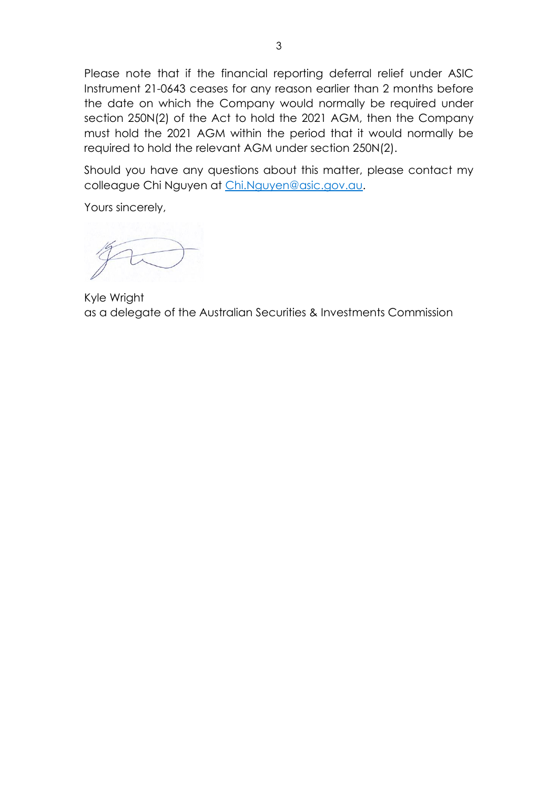Please note that if the financial reporting deferral relief under ASIC Instrument 21-0643 ceases for any reason earlier than 2 months before the date on which the Company would normally be required under section 250N(2) of the Act to hold the 2021 AGM, then the Company must hold the 2021 AGM within the period that it would normally be required to hold the relevant AGM under section 250N(2).

Should you have any questions about this matter, please contact my colleague Chi Nguyen at [Chi.Nguyen@asic.gov.au.](mailto:Chi.Nguyen@asic.gov.au)

Yours sincerely,

Kyle Wright as a delegate of the Australian Securities & Investments Commission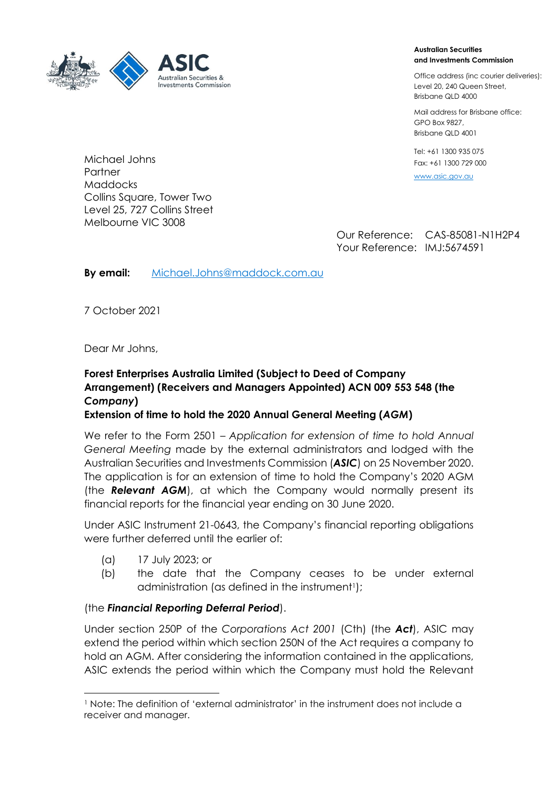

#### **Australian Securities and Investments Commission**

Office address (inc courier deliveries): Level 20, 240 Queen Street, Brisbane QLD 4000

Mail address for Brisbane office: GPO Box 9827, Brisbane QLD 4001

Tel: +61 1300 935 075 Fax: +61 1300 729 000

[www.asic.gov.au](file://///a1.asic.gov.au/ds/userHome/Chi.Nguyen/My%20Documents/Corporations/FOREST%20ENTERPRISES%20AUSTRALIA%20LIMITED/www.asic.gov.au)

Our Reference: CAS-85081-N1H2P4 Your Reference: IMJ:5674591

**By email:** [Michael.Johns@maddock.com.au](mailto:Michael.Johns@maddock.com.au)

7 October 2021

Dear Mr Johns,

## **Forest Enterprises Australia Limited (Subject to Deed of Company Arrangement) (Receivers and Managers Appointed) ACN 009 553 548 (the**  *Company***)**

## **Extension of time to hold the 2020 Annual General Meeting (***AGM***)**

We refer to the Form 2501 – *Application for extension of time to hold Annual General Meeting* made by the external administrators and lodged with the Australian Securities and Investments Commission (*ASIC*) on 25 November 2020. The application is for an extension of time to hold the Company's 2020 AGM (the *Relevant AGM*), at which the Company would normally present its financial reports for the financial year ending on 30 June 2020.

Under ASIC Instrument 21-0643, the Company's financial reporting obligations were further deferred until the earlier of:

- (a) 17 July 2023; or
- (b) the date that the Company ceases to be under external administration (as defined in the instrument<sup>1</sup>);

### (the *Financial Reporting Deferral Period*).

Under section 250P of the *Corporations Act 2001* (Cth) (the *Act*), ASIC may extend the period within which section 250N of the Act requires a company to hold an AGM. After considering the information contained in the applications, ASIC extends the period within which the Company must hold the Relevant

Michael Johns Partner Maddocks Collins Square, Tower Two Level 25, 727 Collins Street Melbourne VIC 3008

<sup>1</sup> Note: The definition of 'external administrator' in the instrument does not include a receiver and manager.